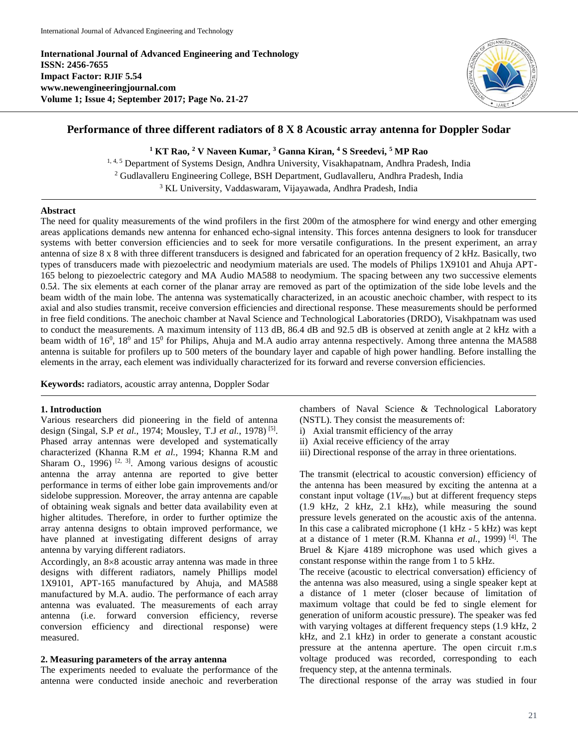**International Journal of Advanced Engineering and Technology ISSN: 2456-7655 Impact Factor: RJIF 5.54 www.newengineeringjournal.com Volume 1; Issue 4; September 2017; Page No. 21-27**



# **Performance of three different radiators of 8 X 8 Acoustic array antenna for Doppler Sodar**

**<sup>1</sup> KT Rao, <sup>2</sup> V Naveen Kumar, <sup>3</sup> Ganna Kiran, <sup>4</sup> S Sreedevi, <sup>5</sup> MP Rao**

<sup>1, 4, 5</sup> Department of Systems Design, Andhra University, Visakhapatnam, Andhra Pradesh, India <sup>2</sup> Gudlavalleru Engineering College, BSH Department, Gudlavalleru, Andhra Pradesh, India <sup>3</sup> KL University, Vaddaswaram, Vijayawada, Andhra Pradesh, India

#### **Abstract**

The need for quality measurements of the wind profilers in the first 200m of the atmosphere for wind energy and other emerging areas applications demands new antenna for enhanced echo-signal intensity. This forces antenna designers to look for transducer systems with better conversion efficiencies and to seek for more versatile configurations. In the present experiment, an array antenna of size 8 x 8 with three different transducers is designed and fabricated for an operation frequency of 2 kHz. Basically, two types of transducers made with piezoelectric and neodymium materials are used. The models of Philips 1X9101 and Ahuja APT-165 belong to piezoelectric category and MA Audio MA588 to neodymium. The spacing between any two successive elements 0.5. The six elements at each corner of the planar array are removed as part of the optimization of the side lobe levels and the beam width of the main lobe. The antenna was systematically characterized, in an acoustic anechoic chamber, with respect to its axial and also studies transmit, receive conversion efficiencies and directional response. These measurements should be performed in free field conditions. The anechoic chamber at Naval Science and Technological Laboratories (DRDO), Visakhpatnam was used to conduct the measurements. A maximum intensity of 113 dB, 86.4 dB and 92.5 dB is observed at zenith angle at 2 kHz with a beam width of 16<sup>0</sup>, 18<sup>0</sup> and 15<sup>0</sup> for Philips, Ahuja and M.A audio array antenna respectively. Among three antenna the MA588 antenna is suitable for profilers up to 500 meters of the boundary layer and capable of high power handling. Before installing the elements in the array, each element was individually characterized for its forward and reverse conversion efficiencies.

**Keywords:** radiators, acoustic array antenna, Doppler Sodar

### **1. Introduction**

Various researchers did pioneering in the field of antenna design (Singal, S.P *et al.*, 1974; Mousley, T.J *et al.*, 1978) [5] . Phased array antennas were developed and systematically characterized (Khanna R.M *et al.*, 1994; Khanna R.M and Sharam O., 1996)<sup>[2, 3]</sup>. Among various designs of acoustic antenna the array antenna are reported to give better performance in terms of either lobe gain improvements and/or sidelobe suppression. Moreover, the array antenna are capable of obtaining weak signals and better data availability even at higher altitudes. Therefore, in order to further optimize the array antenna designs to obtain improved performance, we have planned at investigating different designs of array antenna by varying different radiators.

Accordingly, an  $8\times 8$  acoustic array antenna was made in three designs with different radiators, namely Phillips model 1X9101, APT-165 manufactured by Ahuja, and MA588 manufactured by M.A. audio. The performance of each array antenna was evaluated. The measurements of each array antenna (i.e. forward conversion efficiency, reverse conversion efficiency and directional response) were measured.

#### **2. Measuring parameters of the array antenna**

The experiments needed to evaluate the performance of the antenna were conducted inside anechoic and reverberation chambers of Naval Science & Technological Laboratory (NSTL). They consist the measurements of:

- i) Axial transmit efficiency of the array
- ii) Axial receive efficiency of the array
- iii) Directional response of the array in three orientations.

The transmit (electrical to acoustic conversion) efficiency of the antenna has been measured by exciting the antenna at a constant input voltage (1*Vrms*) but at different frequency steps (1.9 kHz, 2 kHz, 2.1 kHz), while measuring the sound pressure levels generated on the acoustic axis of the antenna. In this case a calibrated microphone (1 kHz - 5 kHz) was kept at a distance of 1 meter (R.M. Khanna *et al.*, 1999) [4]. The Bruel & Kjare 4189 microphone was used which gives a constant response within the range from 1 to 5 kHz.

The receive (acoustic to electrical conversation) efficiency of the antenna was also measured, using a single speaker kept at a distance of 1 meter (closer because of limitation of maximum voltage that could be fed to single element for generation of uniform acoustic pressure). The speaker was fed with varying voltages at different frequency steps (1.9 kHz, 2 kHz, and 2.1 kHz) in order to generate a constant acoustic pressure at the antenna aperture. The open circuit r.m.s voltage produced was recorded, corresponding to each frequency step, at the antenna terminals.

The directional response of the array was studied in four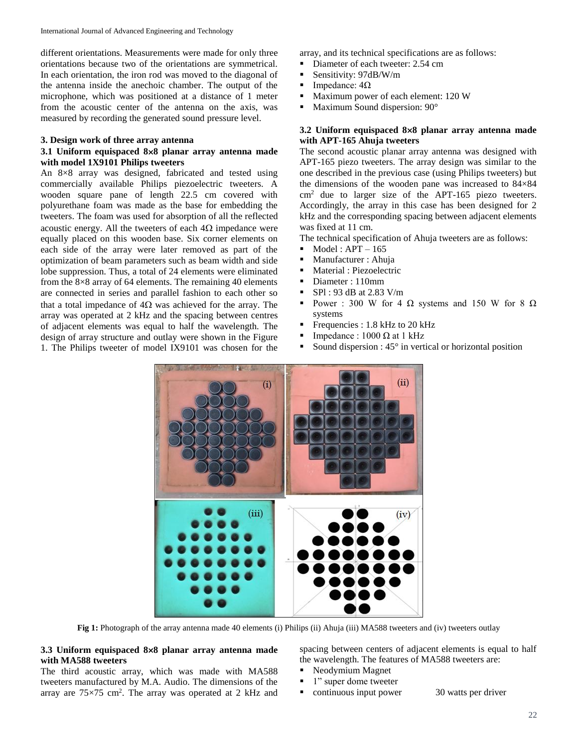different orientations. Measurements were made for only three orientations because two of the orientations are symmetrical. In each orientation, the iron rod was moved to the diagonal of the antenna inside the anechoic chamber. The output of the microphone, which was positioned at a distance of 1 meter from the acoustic center of the antenna on the axis, was measured by recording the generated sound pressure level.

#### **3. Design work of three array antenna**

### **3.1 Uniform equispaced 88 planar array antenna made with model 1X9101 Philips tweeters**

An 8×8 array was designed, fabricated and tested using commercially available Philips piezoelectric tweeters. A wooden square pane of length 22.5 cm covered with polyurethane foam was made as the base for embedding the tweeters. The foam was used for absorption of all the reflected acoustic energy. All the tweeters of each  $4\Omega$  impedance were equally placed on this wooden base. Six corner elements on each side of the array were later removed as part of the optimization of beam parameters such as beam width and side lobe suppression. Thus, a total of 24 elements were eliminated from the 8×8 array of 64 elements. The remaining 40 elements are connected in series and parallel fashion to each other so that a total impedance of  $4\Omega$  was achieved for the array. The array was operated at 2 kHz and the spacing between centres of adjacent elements was equal to half the wavelength. The design of array structure and outlay were shown in the Figure 1. The Philips tweeter of model IX9101 was chosen for the

array, and its technical specifications are as follows:

- Diameter of each tweeter: 2.54 cm
- Sensitivity: 97dB/W/m
- $I$  Impedance:  $4\Omega$
- Maximum power of each element: 120 W
- Maximum Sound dispersion: 90°

## **3.2 Uniform equispaced 88 planar array antenna made with APT-165 Ahuja tweeters**

The second acoustic planar array antenna was designed with APT-165 piezo tweeters. The array design was similar to the one described in the previous case (using Philips tweeters) but the dimensions of the wooden pane was increased to 84×84  $cm<sup>2</sup>$  due to larger size of the APT-165 piezo tweeters. Accordingly, the array in this case has been designed for 2 kHz and the corresponding spacing between adjacent elements was fixed at 11 cm.

The technical specification of Ahuja tweeters are as follows:

- $\blacksquare$  Model : APT 165
- Manufacturer : Ahuja
- Material : Piezoelectric
- Diameter : 110mm
- $\blacksquare$  SPl : 93 dB at 2.83 V/m
- Power : 300 W for 4  $\Omega$  systems and 150 W for 8  $\Omega$ systems
- Frequencies :  $1.8$  kHz to  $20$  kHz
- Impedance :  $1000 \Omega$  at 1 kHz
- Sound dispersion :  $45^\circ$  in vertical or horizontal position



**Fig 1:** Photograph of the array antenna made 40 elements (i) Philips (ii) Ahuja (iii) MA588 tweeters and (iv) tweeters outlay

### **3.3 Uniform equispaced 88 planar array antenna made with MA588 tweeters**

The third acoustic array, which was made with MA588 tweeters manufactured by M.A. Audio. The dimensions of the array are  $75\times75$  cm<sup>2</sup>. The array was operated at 2 kHz and spacing between centers of adjacent elements is equal to half the wavelength. The features of MA588 tweeters are:

- Neodymium Magnet
- 1" super dome tweeter
- continuous input power 30 watts per driver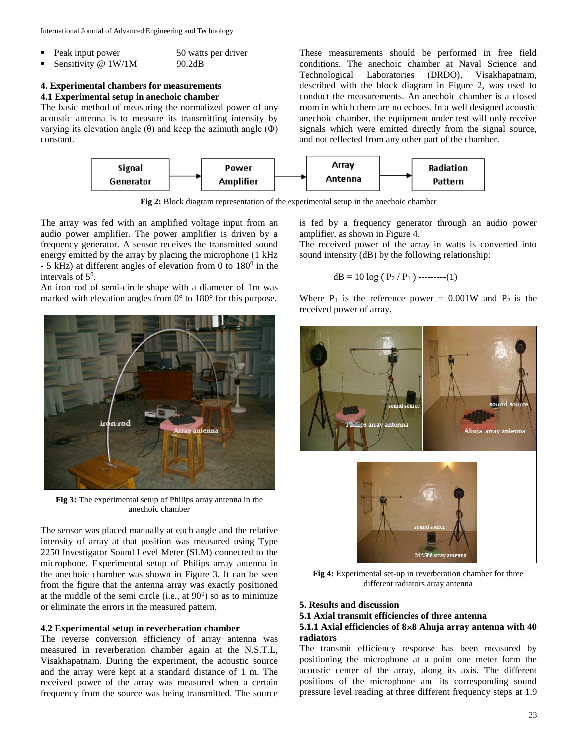International Journal of Advanced Engineering and Technology

| $\blacksquare$ | Peak input power     | 50 watts per driver |
|----------------|----------------------|---------------------|
| $\blacksquare$ | Sensitivity $@1W/1M$ | 90.2dB              |

#### **4. Experimental chambers for measurements 4.1 Experimental setup in anechoic chamber**

The basic method of measuring the normalized power of any acoustic antenna is to measure its transmitting intensity by varying its elevation angle (θ) and keep the azimuth angle (Φ) constant.

These measurements should be performed in free field conditions. The anechoic chamber at Naval Science and Technological Laboratories (DRDO), Visakhapatnam, described with the block diagram in Figure 2, was used to conduct the measurements. An anechoic chamber is a closed room in which there are no echoes. In a well designed acoustic anechoic chamber, the equipment under test will only receive signals which were emitted directly from the signal source, and not reflected from any other part of the chamber.



**Fig 2:** Block diagram representation of the experimental setup in the anechoic chamber

The array was fed with an amplified voltage input from an audio power amplifier. The power amplifier is driven by a frequency generator. A sensor receives the transmitted sound energy emitted by the array by placing the microphone (1 kHz  $-5$  kHz) at different angles of elevation from 0 to  $180^{\circ}$  in the intervals of  $5^0$ .

An iron rod of semi-circle shape with a diameter of 1m was marked with elevation angles from 0° to 180° for this purpose.



**Fig 3:** The experimental setup of Philips array antenna in the anechoic chamber

The sensor was placed manually at each angle and the relative intensity of array at that position was measured using Type 2250 Investigator Sound Level Meter (SLM) connected to the microphone. Experimental setup of Philips array antenna in the anechoic chamber was shown in Figure 3. It can be seen from the figure that the antenna array was exactly positioned at the middle of the semi circle (i.e., at  $90^0$ ) so as to minimize or eliminate the errors in the measured pattern.

## **4.2 Experimental setup in reverberation chamber**

The reverse conversion efficiency of array antenna was measured in reverberation chamber again at the N.S.T.L, Visakhapatnam. During the experiment, the acoustic source and the array were kept at a standard distance of 1 m. The received power of the array was measured when a certain frequency from the source was being transmitted. The source

is fed by a frequency generator through an audio power amplifier, as shown in Figure 4.

The received power of the array in watts is converted into sound intensity (dB) by the following relationship:

$$
dB = 10 \log (P_2 / P_1) \cdots
$$
 (1)

Where  $P_1$  is the reference power = 0.001W and  $P_2$  is the received power of array.



**Fig 4:** Experimental set-up in reverberation chamber for three different radiators array antenna

#### **5. Results and discussion**

#### **5.1 Axial transmit efficiencies of three antenna**

### **5.1.1 Axial efficiencies of 88 Ahuja array antenna with 40 radiators**

The transmit efficiency response has been measured by positioning the microphone at a point one meter form the acoustic center of the array, along its axis. The different positions of the microphone and its corresponding sound pressure level reading at three different frequency steps at 1.9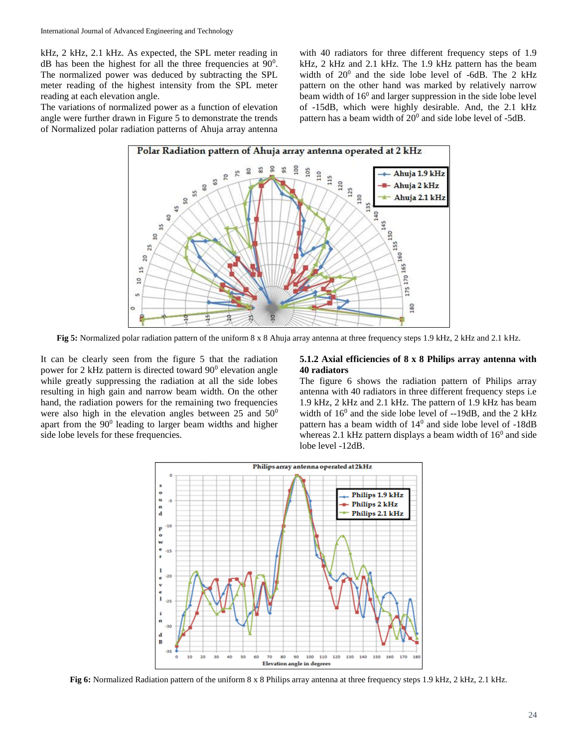kHz, 2 kHz, 2.1 kHz. As expected, the SPL meter reading in  $dB$  has been the highest for all the three frequencies at  $90^\circ$ . The normalized power was deduced by subtracting the SPL meter reading of the highest intensity from the SPL meter reading at each elevation angle.

The variations of normalized power as a function of elevation angle were further drawn in Figure 5 to demonstrate the trends of Normalized polar radiation patterns of Ahuja array antenna

with 40 radiators for three different frequency steps of 1.9 kHz, 2 kHz and 2.1 kHz. The 1.9 kHz pattern has the beam width of  $20^0$  and the side lobe level of -6dB. The 2 kHz pattern on the other hand was marked by relatively narrow beam width of 16<sup>0</sup> and larger suppression in the side lobe level of -15dB, which were highly desirable. And, the 2.1 kHz pattern has a beam width of  $20^0$  and side lobe level of -5dB.



**Fig 5:** Normalized polar radiation pattern of the uniform 8 x 8 Ahuja array antenna at three frequency steps 1.9 kHz, 2 kHz and 2.1 kHz.

It can be clearly seen from the figure 5 that the radiation power for 2 kHz pattern is directed toward 90<sup>0</sup> elevation angle while greatly suppressing the radiation at all the side lobes resulting in high gain and narrow beam width. On the other hand, the radiation powers for the remaining two frequencies were also high in the elevation angles between  $25$  and  $50^0$ apart from the  $90^0$  leading to larger beam widths and higher side lobe levels for these frequencies.

#### **5.1.2 Axial efficiencies of 8 x 8 Philips array antenna with 40 radiators**

The figure 6 shows the radiation pattern of Philips array antenna with 40 radiators in three different frequency steps i.e 1.9 kHz, 2 kHz and 2.1 kHz. The pattern of 1.9 kHz has beam width of  $16^0$  and the side lobe level of  $-19$ dB, and the 2 kHz pattern has a beam width of  $14<sup>0</sup>$  and side lobe level of  $-18dB$ whereas 2.1 kHz pattern displays a beam width of  $16<sup>0</sup>$  and side lobe level -12dB.



**Fig 6:** Normalized Radiation pattern of the uniform 8 x 8 Philips array antenna at three frequency steps 1.9 kHz, 2 kHz, 2.1 kHz.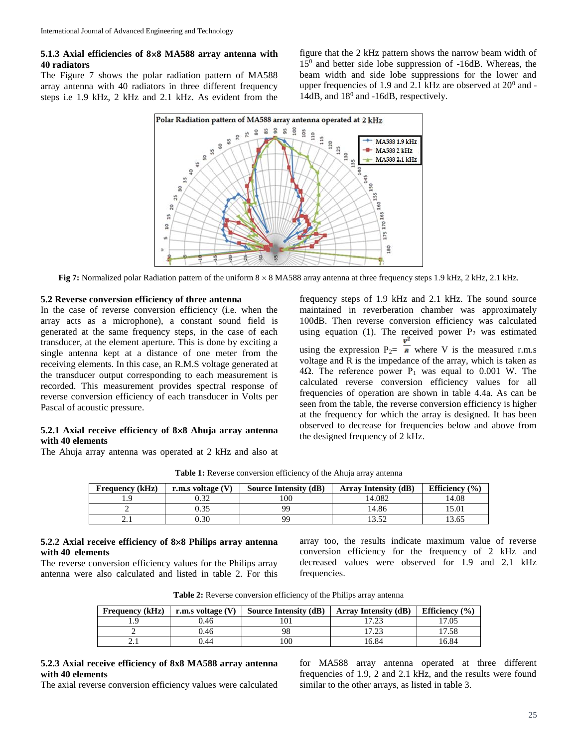### **5.1.3 Axial efficiencies of 88 MA588 array antenna with 40 radiators**

The Figure 7 shows the polar radiation pattern of MA588 array antenna with 40 radiators in three different frequency steps i.e 1.9 kHz, 2 kHz and 2.1 kHz. As evident from the

figure that the 2 kHz pattern shows the narrow beam width of 15<sup>0</sup> and better side lobe suppression of -16dB. Whereas, the beam width and side lobe suppressions for the lower and upper frequencies of 1.9 and 2.1 kHz are observed at  $20^0$  and -14dB, and  $18^0$  and -16dB, respectively.



**Fig 7:** Normalized polar Radiation pattern of the uniform  $8 \times 8$  MA588 array antenna at three frequency steps 1.9 kHz, 2 kHz, 2.1 kHz.

#### **5.2 Reverse conversion efficiency of three antenna**

In the case of reverse conversion efficiency (i.e. when the array acts as a microphone), a constant sound field is generated at the same frequency steps, in the case of each transducer, at the element aperture. This is done by exciting a single antenna kept at a distance of one meter from the receiving elements. In this case, an R.M.S voltage generated at the transducer output corresponding to each measurement is recorded. This measurement provides spectral response of reverse conversion efficiency of each transducer in Volts per Pascal of acoustic pressure.

### **5.2.1 Axial receive efficiency of 88 Ahuja array antenna with 40 elements**

The Ahuja array antenna was operated at 2 kHz and also at

frequency steps of 1.9 kHz and 2.1 kHz. The sound source maintained in reverberation chamber was approximately 100dB. Then reverse conversion efficiency was calculated using equation (1). The received power  $P_2$  was estimated using the expression  $P_2 = \frac{v^2}{R}$  where V is the measured r.m.s voltage and R is the impedance of the array, which is taken as 4Ω. The reference power  $P_1$  was equal to 0.001 W. The calculated reverse conversion efficiency values for all frequencies of operation are shown in table 4.4a. As can be seen from the table, the reverse conversion efficiency is higher at the frequency for which the array is designed. It has been observed to decrease for frequencies below and above from the designed frequency of 2 kHz.

| <b>Frequency (kHz)</b> | r.m.s voltage $(V)$ | Source Intensity (dB) | <b>Array Intensity (dB)</b> | Efficiency $(\% )$ |
|------------------------|---------------------|-----------------------|-----------------------------|--------------------|
|                        | ).32                | 100                   | 14.082                      | 14.08              |
|                        | ).35                | QQ                    | .4.86                       | 15.01              |
| <u>.</u>               | <b>J.30</b>         | QQ                    |                             | 13.65              |

Table 1: Reverse conversion efficiency of the Ahuja array antenna

### **5.2.2 Axial receive efficiency of 88 Philips array antenna with 40 elements**

The reverse conversion efficiency values for the Philips array antenna were also calculated and listed in table 2. For this

array too, the results indicate maximum value of reverse conversion efficiency for the frequency of 2 kHz and decreased values were observed for 1.9 and 2.1 kHz frequencies.

| <b>Frequency</b> (kHz) | r.m.s voltage $(V)$ | Source Intensity (dB) | <b>Array Intensity (dB)</b> | Efficiency $(\% )$ |
|------------------------|---------------------|-----------------------|-----------------------------|--------------------|
|                        | 0.46                |                       |                             | .7.05              |
|                        | 0.46                | 98                    | $\cdots$                    | .7.58              |
| <u>.</u>               | .).44               | 100                   | .6.84                       | 6.84               |

**Table 2:** Reverse conversion efficiency of the Philips array antenna

# **5.2.3 Axial receive efficiency of 8x8 MA588 array antenna with 40 elements**

The axial reverse conversion efficiency values were calculated

for MA588 array antenna operated at three different frequencies of 1.9, 2 and 2.1 kHz, and the results were found similar to the other arrays, as listed in table 3.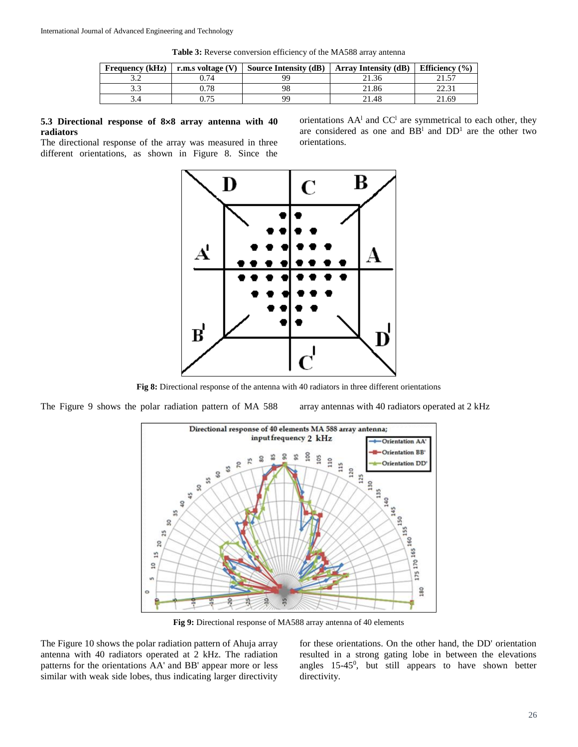| <b>Frequency (kHz)</b> | r.m.s voltage (V) | <b>Source Intensity (dB)</b> | $\vert$ Array Intensity (dB) | Efficiency $(\% )$ |
|------------------------|-------------------|------------------------------|------------------------------|--------------------|
|                        | J.74              | QC                           | $-1.36$                      |                    |
| ن. ب                   | ).78              |                              | 21.86                        | 22.31              |
|                        |                   | Q۵                           | 21.48                        | 21.69              |

**Table 3:** Reverse conversion efficiency of the MA588 array antenna

#### **5.3 Directional response of 88 array antenna with 40 radiators**

The directional response of the array was measured in three different orientations, as shown in Figure 8. Since the

orientations  $AA<sup>1</sup>$  and  $CC<sup>1</sup>$  are symmetrical to each other, they are considered as one and  $BB<sup>1</sup>$  and  $DD<sup>1</sup>$  are the other two orientations.



**Fig 8:** Directional response of the antenna with 40 radiators in three different orientations

The Figure 9 shows the polar radiation pattern of MA 588 array antennas with 40 radiators operated at 2 kHz



**Fig 9:** Directional response of MA588 array antenna of 40 elements

The Figure 10 shows the polar radiation pattern of Ahuja array antenna with 40 radiators operated at 2 kHz. The radiation patterns for the orientations AA' and BB' appear more or less similar with weak side lobes, thus indicating larger directivity for these orientations. On the other hand, the DD' orientation resulted in a strong gating lobe in between the elevations angles 15-45<sup>0</sup> , but still appears to have shown better directivity.